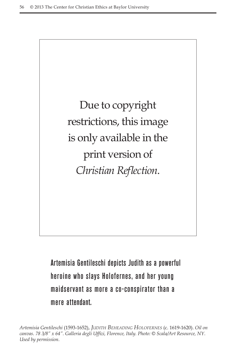Due to copyright restrictions, this image is only available in the print version of *Christian Reflection*.

Artemisia Gentileschi depicts Judith as a powerful heroine who slays Holofernes, and her young maidservant as more a co-conspirator than a mere attendant.

*Artemisia Gentileschi* (1593-1652), *Judith Beheading Holofernes* (c. 1619-1620). *Oil on canvas. 78 3/8" x 64". Galleria degli Uffizi, Florence, Italy. Photo: © Scala/Art Resource, NY. Used by permission.*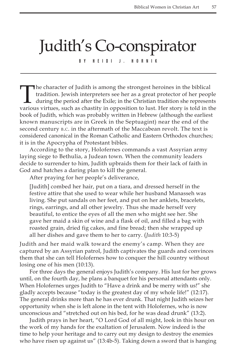## Judith's Co-conspirator

By Heidi J. Hornik

The character of Judith is among the strongest heroines in the biblical tradition. Jewish interpreters see her as a great protector of her people during the period after the Exile; in the Christian tradition she represents various virtues, such as chastity in opposition to lust. Her story is told in the book of Judith, which was probably written in Hebrew (although the earliest known manuscripts are in Greek in the Septuagint) near the end of the second century  $B.C.$  in the aftermath of the Maccabean revolt. The text is considered canonical in the Roman Catholic and Eastern Orthodox churches; it is in the Apocrypha of Protestant bibles.

According to the story, Holofernes commands a vast Assyrian army laying siege to Bethulia, a Judean town. When the community leaders decide to surrender to him, Judith upbraids them for their lack of faith in God and hatches a daring plan to kill the general.

After praying for her people's deliverance,

[Judith] combed her hair, put on a tiara, and dressed herself in the festive attire that she used to wear while her husband Manasseh was living. She put sandals on her feet, and put on her anklets, bracelets, rings, earrings, and all other jewelry. Thus she made herself very beautiful, to entice the eyes of all the men who might see her. She gave her maid a skin of wine and a flask of oil, and filled a bag with roasted grain, dried fig cakes, and fine bread; then she wrapped up all her dishes and gave them to her to carry. (*Judith* 10:3-5)

Judith and her maid walk toward the enemy's camp. When they are captured by an Assyrian patrol, Judith captivates the guards and convinces them that she can tell Holofernes how to conquer the hill country without losing one of his men (10:13).

For three days the general enjoys Judith's company. His lust for her grows until, on the fourth day, he plans a banquet for his personal attendants only. When Holofernes urges Judith to "Have a drink and be merry with us!" she gladly accepts because "today is the greatest day of my whole life!" (12:17). The general drinks more than he has ever drunk. That night Judith seizes her opportunity when she is left alone in the tent with Holofernes, who is now unconscious and "stretched out on his bed, for he was dead drunk" (13:2).

Judith prays in her heart, "O Lord God of all might, look in this hour on the work of my hands for the exaltation of Jerusalem. Now indeed is the time to help your heritage and to carry out my design to destroy the enemies who have risen up against us" (13:4b-5). Taking down a sword that is hanging